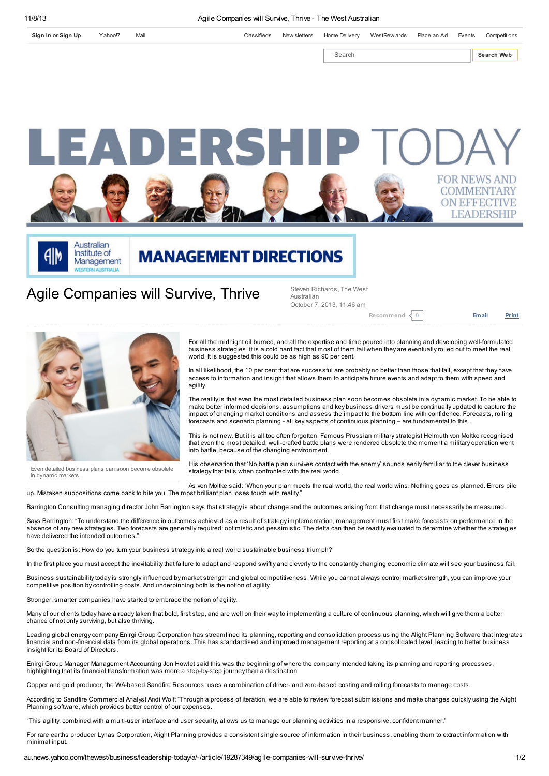[Sign](https://edit.yahoo.com/config/eval_register?.done=http%3A%2F%2Fau.news.yahoo.com%2Fthewest%2Fbusiness%2Fleadership-today%2Fa%2F-%2Farticle%2F19287349%2Fagile-companies-will-survive-thrive%2F&.intl=au&.src=) In or Sign Up [Yahoo!7](http://au.yahoo.com/) [Mail](http://au.mail.yahoo.com/) Classifieds New [sletters](http://info-thewest.anittel.net/newsletters/subscriptionconsole.html) Home [Delivery](https://competitions.thewest.com.au/print-comps/home-delivery) [WestRew](https://westrewards.thewest.com.au/) ards [Place](https://myads.thewestclassifieds.com.au/) an Ad [Events](http://events.thewest.com.au/) [Competitions](http://competitions.thewest.com.au/) Search Search Search Web ERS





**MANAGEMENT DIRECTIONS** 

## Agile Companies will Survive, Thrive

Steven Richards, The West Australian October 7, 2013, 11:46 am

[Recommend](http://twitter.com/share?url=http%3A%2F%2Fau.news.yahoo.com%2Fthewest%2Fbusiness%2Fleadership-today%2Fa%2F-%2Farticle%2F19287349%2Fagile-companies-will-survive-thrive%2F&text=Agile%20Companies%20will%20Survive%2C%20Thrive%20-%20The%20West%20Australian&via=thewest_com_au&counturl=http%3A%2F%2Fau.news.yahoo.com%2Fthewest%2Fbusiness%2Fleadership-today%2Fa%2F-%2Farticle%2F19287349%2Fagile-companies-will-survive-thrive%2F&lang=en&hashtags=)  $\langle 0 |$  [Email](http://mtf.news.yahoo.com/mailto/?prop=wan&locale=au&url=http%3A%2F%2Fau.news.yahoo.com%2Fthewest%2Fbusiness%2Fleadership-today%2Fa%2F-%2Farticle%2F19287349%2Fagile-companies-will-survive-thrive%2F&title=Agile%20Companies%20will%20Survive%2C%20Thrive%20-%20The%20West%20Australian) [Print](javascript:print())

**OMMENTARY ON EFFECTIVE LEADERSHIP** 



Even detailed business plans can soon become obsolete in dynamic markets.

For all the midnight oil burned, and all the expertise and time poured into planning and developing well-formulated business strategies, it is a cold hard fact that most of them fail when they are eventually rolled out to meet the real world. It is suggested this could be as high as 90 per cent.

In all likelihood, the 10 per cent that are successful are probably no better than those that fail, except that they have access to information and insight that allows them to anticipate future events and adapt to them with speed and agility.

The reality is that even the most detailed business plan soon becomes obsolete in a dynamic market. To be able to<br>make better informed decisions, assumptions and key business drivers must be continually updated to capture impact of changing market conditions and assess the impact to the bottom line with confidence. Forecasts, rolling forecasts and scenario planning - all key aspects of continuous planning – are fundamental to this.

This is not new. But it is all too often forgotten. Famous Prussian military strategist Helmuth von Moltke recognised that even the most detailed, well-crafted battle plans were rendered obsolete the moment a military operation went into battle, because of the changing environment.

His observation that 'No battle plan survives contact with the enemy' sounds eerily familiar to the clever business strategy that fails when confronted with the real world.

As von Moltke said: "When your plan meets the real world, the real world wins. Nothing goes as planned. Errors pile up. Mistaken suppositions come back to bite you. The most brilliant plan loses touch with reality."

Barrington Consulting managing director John Barrington says that strategy is about change and the outcomes arising from that change must necessarily be measured.

Says Barrington: "To understand the difference in outcomes achieved as a result of strategy implementation, management must first make forecasts on performance in the absence of any new strategies. Two forecasts are generally required: optimistic and pessimistic. The delta can then be readily evaluated to determine whether the strategies have delivered the intended outcomes.

So the question is: How do you turn your business strategy into a real world sustainable business triumph?

In the first place you must accept the inevitability that failure to adapt and respond swiftly and cleverly to the constantly changing economic climate will see your business fail.

Business sustainability today is strongly influenced by market strength and global competitiveness. While you cannot always control market strength, you can improve your competitive position by controlling costs. And underpinning both is the notion of agility.

Stronger, smarter companies have started to embrace the notion of agility.

Many of our clients today have already taken that bold, first step, and are well on their way to implementing a culture of continuous planning, which will give them a better chance of not only surviving, but also thriving.

Leading global energy company Enirgi Group Corporation has streamlined its planning, reporting and consolidation process using the Alight Planning Software that integrates financial and non-financial data from its global operations. This has standardised and improved management reporting at a consolidated level, leading to better business insight for its Board of Directors.

Enirgi Group Manager Management Accounting Jon Howlet said this was the beginning of where the company intended taking its planning and reporting processes, highlighting that its financial transformation was more a step-by-step journey than a destination

Copper and gold producer, the WA-based Sandfire Resources, uses a combination of driver- and zero-based costing and rolling forecasts to manage costs.

According to Sandfire Commercial Analyst Andi Wolf: "Through a process of iteration, we are able to review forecast submissions and make changes quickly using the Alight Planning software, which provides better control of our expenses.

"This agility, combined with a multi-user interface and user security, allows us to manage our planning activities in a responsive, confident manner."

For rare earths producer Lynas Corporation, Alight Planning provides a consistent single source of information in their business, enabling them to extract information with minimal input.